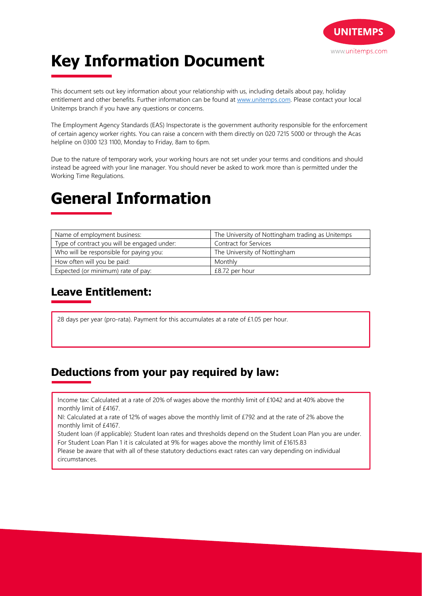

# **Key Information Document**

This document sets out key information about your relationship with us, including details about pay, holiday entitlement and other benefits. Further information can be found at www.unitemps.com. Please contact your local Unitemps branch if you have any questions or concerns.

The Employment Agency Standards (EAS) Inspectorate is the government authority responsible for the enforcement of certain agency worker rights. You can raise a concern with them directly on 020 7215 5000 or through the Acas helpline on 0300 123 1100, Monday to Friday, 8am to 6pm.

Due to the nature of temporary work, your working hours are not set under your terms and conditions and should instead be agreed with your line manager. You should never be asked to work more than is permitted under the Working Time Regulations.

## **General Information**

| Name of employment business:                | The University of Nottingham trading as Unitemps |
|---------------------------------------------|--------------------------------------------------|
| Type of contract you will be engaged under: | Contract for Services                            |
| Who will be responsible for paying you:     | The University of Nottingham                     |
| How often will you be paid:                 | Monthly                                          |
| Expected (or minimum) rate of pay:          | £8.72 per hour                                   |

### **Leave Entitlement:**

28 days per year (pro-rata). Payment for this accumulates at a rate of £1.05 per hour.

### **Deductions from your pay required by law:**

Income tax: Calculated at a rate of 20% of wages above the monthly limit of £1042 and at 40% above the monthly limit of £4167.

NI: Calculated at a rate of 12% of wages above the monthly limit of £792 and at the rate of 2% above the monthly limit of £4167.

Student loan (if applicable): Student loan rates and thresholds depend on the Student Loan Plan you are under. For Student Loan Plan 1 it is calculated at 9% for wages above the monthly limit of £1615.83

Please be aware that with all of these statutory deductions exact rates can vary depending on individual circumstances.